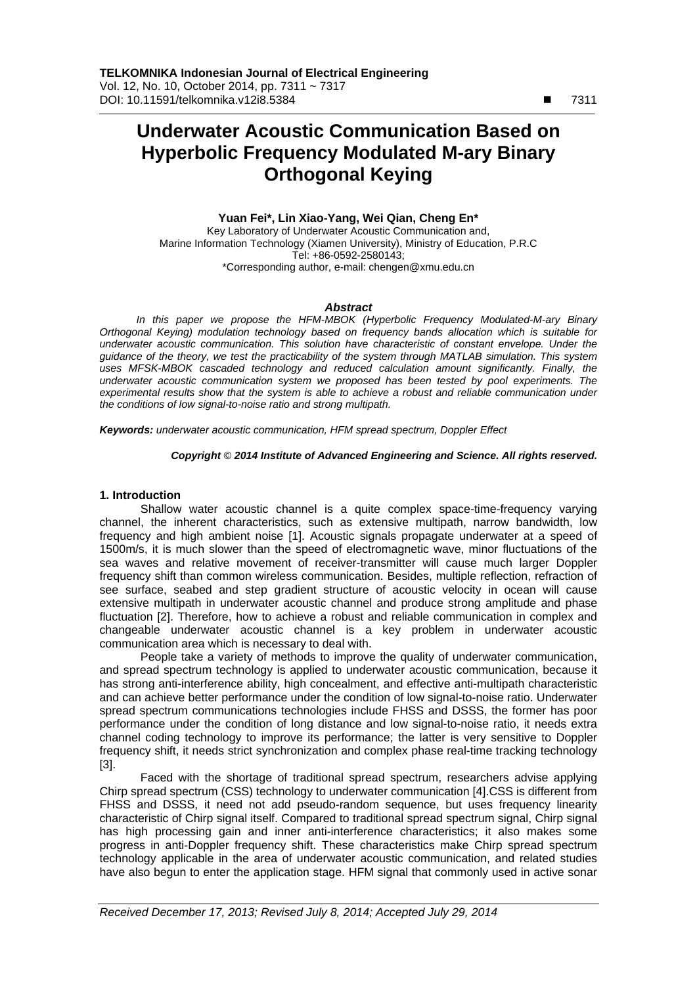$\overline{a}$ 

# **Underwater Acoustic Communication Based on Hyperbolic Frequency Modulated M-ary Binary Orthogonal Keying**

**Yuan Fei\*, Lin Xiao-Yang, Wei Qian, Cheng En\***  Key Laboratory of Underwater Acoustic Communication and, Marine Information Technology (Xiamen University), Ministry of Education, P.R.C Tel: +86-0592-2580143; \*Corresponding author, e-mail: chengen@xmu.edu.cn

### *Abstract*

*In this paper we propose the HFM-MBOK (Hyperbolic Frequency Modulated-M-ary Binary Orthogonal Keying) modulation technology based on frequency bands allocation which is suitable for underwater acoustic communication. This solution have characteristic of constant envelope. Under the guidance of the theory, we test the practicability of the system through MATLAB simulation. This system uses MFSK-MBOK cascaded technology and reduced calculation amount significantly. Finally, the underwater acoustic communication system we proposed has been tested by pool experiments. The experimental results show that the system is able to achieve a robust and reliable communication under the conditions of low signal-to-noise ratio and strong multipath.* 

*Keywords: underwater acoustic communication, HFM spread spectrum, Doppler Effect* 

#### *Copyright* © *2014 Institute of Advanced Engineering and Science. All rights reserved.*

# **1. Introduction**

Shallow water acoustic channel is a quite complex space-time-frequency varying channel, the inherent characteristics, such as extensive multipath, narrow bandwidth, low frequency and high ambient noise [1]. Acoustic signals propagate underwater at a speed of 1500m/s, it is much slower than the speed of electromagnetic wave, minor fluctuations of the sea waves and relative movement of receiver-transmitter will cause much larger Doppler frequency shift than common wireless communication. Besides, multiple reflection, refraction of see surface, seabed and step gradient structure of acoustic velocity in ocean will cause extensive multipath in underwater acoustic channel and produce strong amplitude and phase fluctuation [2]. Therefore, how to achieve a robust and reliable communication in complex and changeable underwater acoustic channel is a key problem in underwater acoustic communication area which is necessary to deal with.

People take a variety of methods to improve the quality of underwater communication, and spread spectrum technology is applied to underwater acoustic communication, because it has strong anti-interference ability, high concealment, and effective anti-multipath characteristic and can achieve better performance under the condition of low signal-to-noise ratio. Underwater spread spectrum communications technologies include FHSS and DSSS, the former has poor performance under the condition of long distance and low signal-to-noise ratio, it needs extra channel coding technology to improve its performance; the latter is very sensitive to Doppler frequency shift, it needs strict synchronization and complex phase real-time tracking technology [3].

Faced with the shortage of traditional spread spectrum, researchers advise applying Chirp spread spectrum (CSS) technology to underwater communication [4].CSS is different from FHSS and DSSS, it need not add pseudo-random sequence, but uses frequency linearity characteristic of Chirp signal itself. Compared to traditional spread spectrum signal, Chirp signal has high processing gain and inner anti-interference characteristics; it also makes some progress in anti-Doppler frequency shift. These characteristics make Chirp spread spectrum technology applicable in the area of underwater acoustic communication, and related studies have also begun to enter the application stage. HFM signal that commonly used in active sonar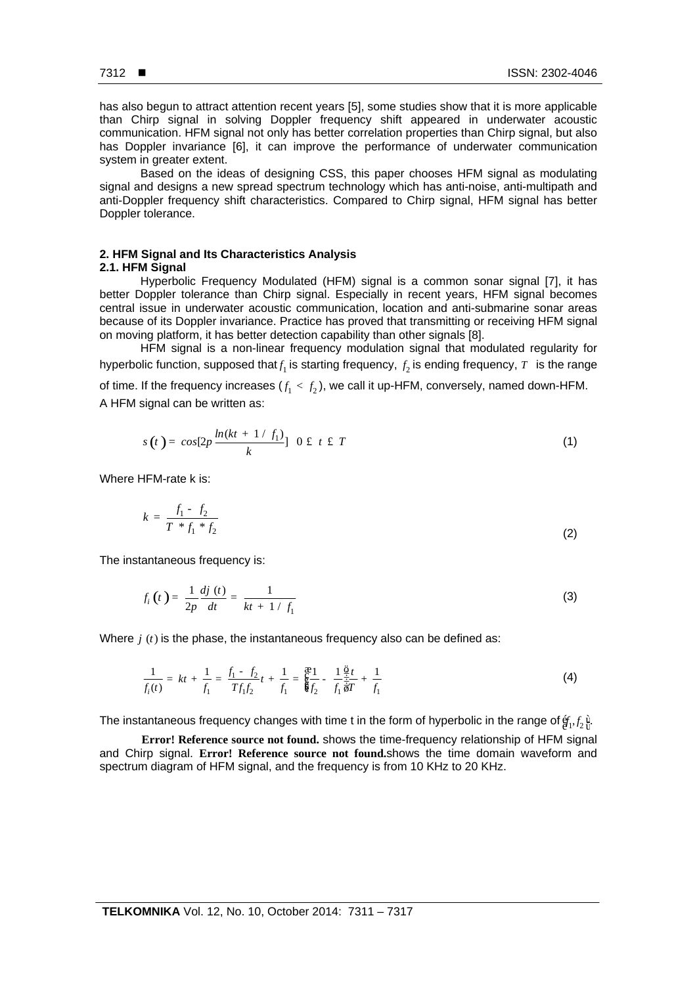ֺ

has also begun to attract attention recent years [5], some studies show that it is more applicable than Chirp signal in solving Doppler frequency shift appeared in underwater acoustic communication. HFM signal not only has better correlation properties than Chirp signal, but also has Doppler invariance [6], it can improve the performance of underwater communication system in greater extent.

Based on the ideas of designing CSS, this paper chooses HFM signal as modulating signal and designs a new spread spectrum technology which has anti-noise, anti-multipath and anti-Doppler frequency shift characteristics. Compared to Chirp signal, HFM signal has better Doppler tolerance.

# **2. HFM Signal and Its Characteristics Analysis 2.1. HFM Signal**

Hyperbolic Frequency Modulated (HFM) signal is a common sonar signal [7], it has better Doppler tolerance than Chirp signal. Especially in recent years, HFM signal becomes central issue in underwater acoustic communication, location and anti-submarine sonar areas because of its Doppler invariance. Practice has proved that transmitting or receiving HFM signal on moving platform, it has better detection capability than other signals [8].

HFM signal is a non-linear frequency modulation signal that modulated regularity for hyperbolic function, supposed that $f_1$  is starting frequency,  $f_2$  is ending frequency,  $T$  is the range of time. If the frequency increases  $(f_1 < f_2)$ , we call it up-HFM, conversely, named down-HFM. A HFM signal can be written as:

$$
s(t) = \cos[2p \frac{\ln(kt + 1/f_1)}{k}] \quad 0 \text{ if } t \text{ if } T
$$
 (1)

Where HFM-rate k is:

$$
k = \frac{f_1 - f_2}{T * f_1 * f_2} \tag{2}
$$

The instantaneous frequency is:

$$
f_i(t) = \frac{1}{2p} \frac{dj(t)}{dt} = \frac{1}{kt + 1/f_1}
$$
 (3)

Where  $j(t)$  is the phase, the instantaneous frequency also can be defined as:

$$
\frac{1}{f_i(t)} = kt + \frac{1}{f_1} = \frac{f_1 - f_2}{Tf_1f_2}t + \frac{1}{f_1} = \frac{\mathfrak{E}1}{\mathfrak{E}f_2} - \frac{1}{f_1}\frac{\mathfrak{E}t}{\mathfrak{F}f} + \frac{1}{f_1}
$$
(4)

The instantaneous frequency changes with time t in the form of hyperbolic in the range of  $\hat{g}_1, f_2$   $\hat{\mu}$ .

**Error! Reference source not found.** shows the time-frequency relationship of HFM signal and Chirp signal. **Error! Reference source not found.**shows the time domain waveform and spectrum diagram of HFM signal, and the frequency is from 10 KHz to 20 KHz.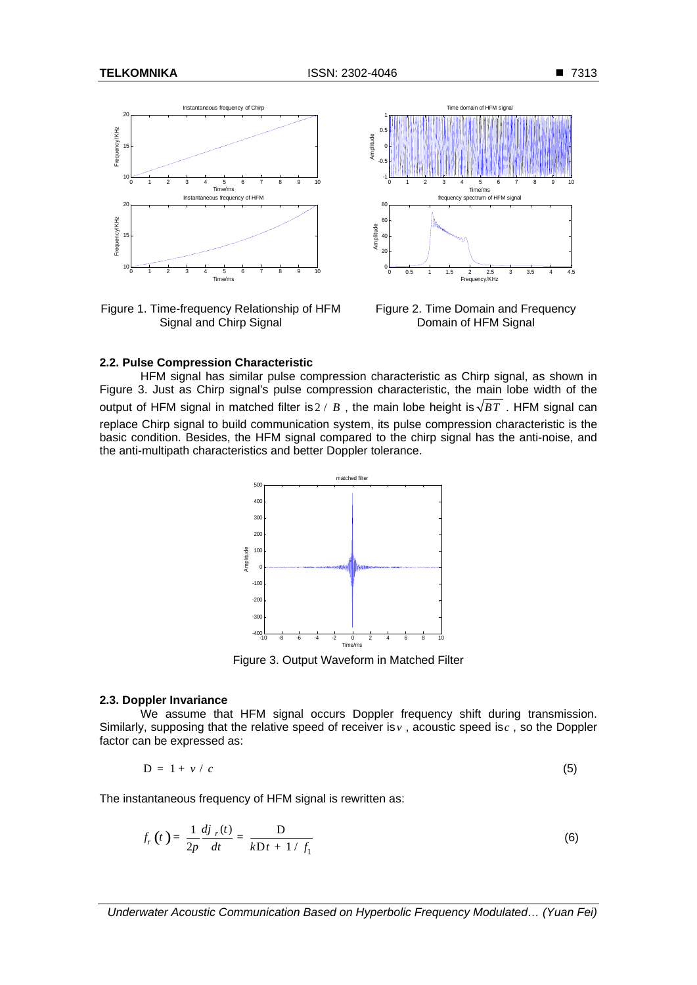

Figure 1. Time-frequency Relationship of HFM Signal and Chirp Signal



Figure 2. Time Domain and Frequency Domain of HFM Signal

# **2.2. Pulse Compression Characteristic**

HFM signal has similar pulse compression characteristic as Chirp signal, as shown in Figure 3. Just as Chirp signal's pulse compression characteristic, the main lobe width of the output of HFM signal in matched filter is  $2 / B$ , the main lobe height is  $\sqrt{BT}$ . HFM signal can replace Chirp signal to build communication system, its pulse compression characteristic is the basic condition. Besides, the HFM signal compared to the chirp signal has the anti-noise, and the anti-multipath characteristics and better Doppler tolerance.



Figure 3. Output Waveform in Matched Filter

# **2.3. Doppler Invariance**

We assume that HFM signal occurs Doppler frequency shift during transmission. Similarly, supposing that the relative speed of receiver is*v* , acoustic speed is*c* , so the Doppler factor can be expressed as:

$$
D = 1 + v / c \tag{5}
$$

The instantaneous frequency of HFM signal is rewritten as:

$$
f_r(t) = \frac{1}{2p} \frac{dj_{r}(t)}{dt} = \frac{D}{kDt + 1/f_1}
$$
 (6)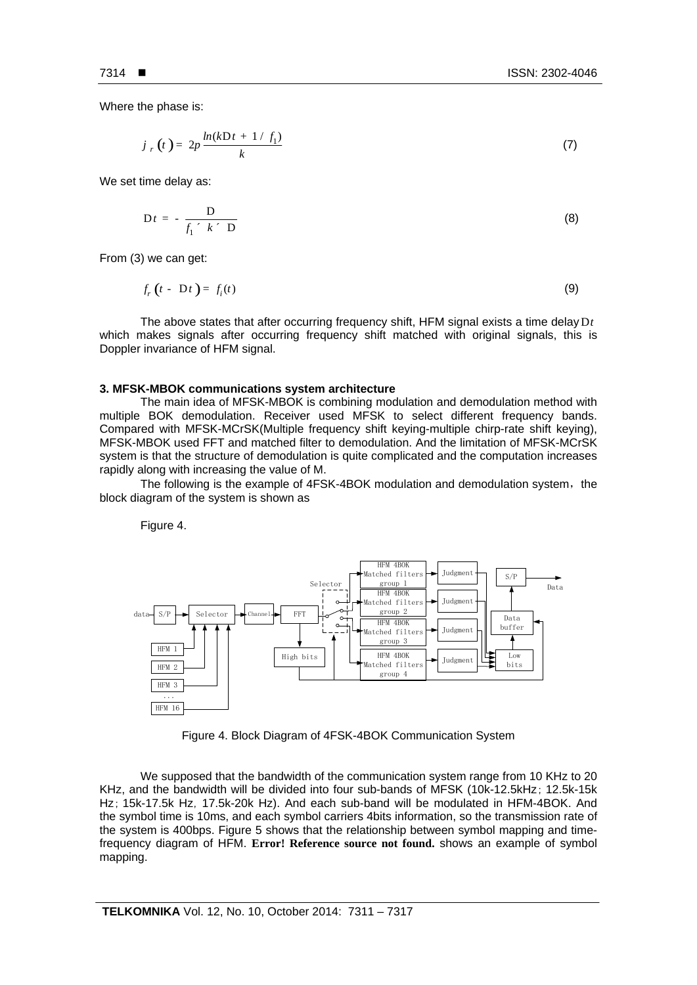Where the phase is:

$$
j_r(t) = 2p \frac{\ln(kDt + 1/f_1)}{k}
$$
 (7)

We set time delay as:

$$
Dt = -\frac{D}{f_1 \cdot k \cdot D} \tag{8}
$$

From (3) we can get:

$$
f_r(t - Dt) = f_i(t) \tag{9}
$$

The above states that after occurring frequency shift, HFM signal exists a time delay D*t* which makes signals after occurring frequency shift matched with original signals, this is Doppler invariance of HFM signal.

#### **3. MFSK-MBOK communications system architecture**

The main idea of MFSK-MBOK is combining modulation and demodulation method with multiple BOK demodulation. Receiver used MFSK to select different frequency bands. Compared with MFSK-MCrSK(Multiple frequency shift keying-multiple chirp-rate shift keying), MFSK-MBOK used FFT and matched filter to demodulation. And the limitation of MFSK-MCrSK system is that the structure of demodulation is quite complicated and the computation increases rapidly along with increasing the value of M.

The following is the example of 4FSK-4BOK modulation and demodulation system, the block diagram of the system is shown as

Figure 4.



Figure 4. Block Diagram of 4FSK-4BOK Communication System

We supposed that the bandwidth of the communication system range from 10 KHz to 20 KHz, and the bandwidth will be divided into four sub-bands of MFSK (10k-12.5kHz; 12.5k-15k Hz; 15k-17.5k Hz, 17.5k-20k Hz). And each sub-band will be modulated in HFM-4BOK. And the symbol time is 10ms, and each symbol carriers 4bits information, so the transmission rate of the system is 400bps. Figure 5 shows that the relationship between symbol mapping and timefrequency diagram of HFM. **Error! Reference source not found.** shows an example of symbol mapping.

ֺ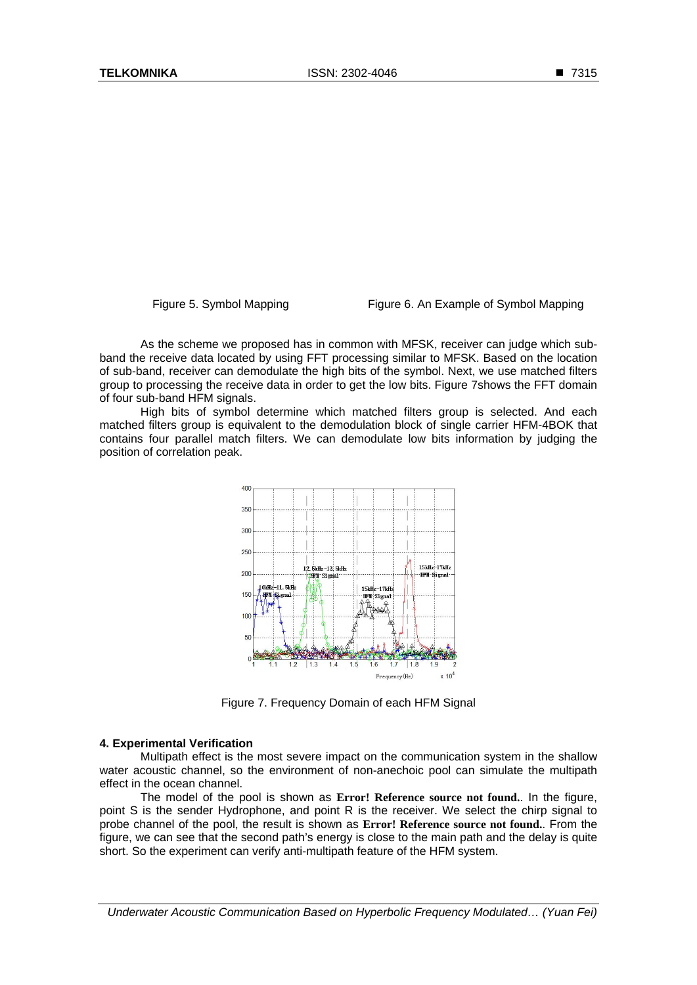Figure 5. Symbol Mapping Figure 6. An Example of Symbol Mapping

As the scheme we proposed has in common with MFSK, receiver can judge which subband the receive data located by using FFT processing similar to MFSK. Based on the location of sub-band, receiver can demodulate the high bits of the symbol. Next, we use matched filters group to processing the receive data in order to get the low bits. Figure 7shows the FFT domain of four sub-band HFM signals.

High bits of symbol determine which matched filters group is selected. And each matched filters group is equivalent to the demodulation block of single carrier HFM-4BOK that contains four parallel match filters. We can demodulate low bits information by judging the position of correlation peak.



Figure 7. Frequency Domain of each HFM Signal

### **4. Experimental Verification**

Multipath effect is the most severe impact on the communication system in the shallow water acoustic channel, so the environment of non-anechoic pool can simulate the multipath effect in the ocean channel.

The model of the pool is shown as **Error! Reference source not found.**. In the figure, point S is the sender Hydrophone, and point R is the receiver. We select the chirp signal to probe channel of the pool, the result is shown as **Error! Reference source not found.**. From the figure, we can see that the second path's energy is close to the main path and the delay is quite short. So the experiment can verify anti-multipath feature of the HFM system.

*Underwater Acoustic Communication Based on Hyperbolic Frequency Modulated… (Yuan Fei)*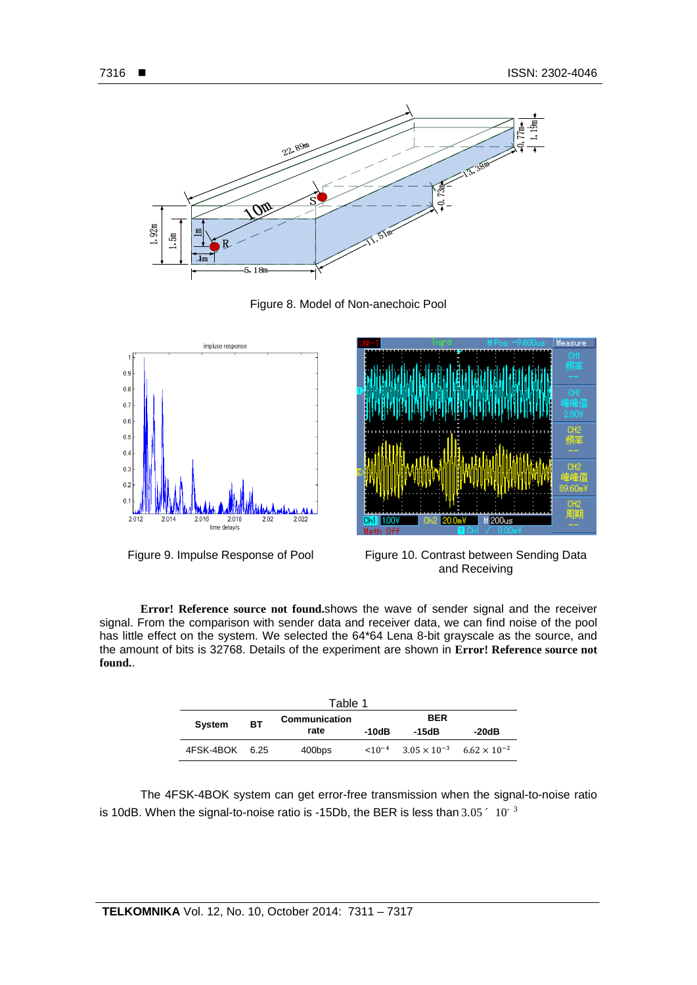

Figure 8. Model of Non-anechoic Pool





Figure 9. Impulse Response of Pool Figure 10. Contrast between Sending Data and Receiving

**Error! Reference source not found.**shows the wave of sender signal and the receiver signal. From the comparison with sender data and receiver data, we can find noise of the pool has little effect on the system. We selected the 64\*64 Lena 8-bit grayscale as the source, and the amount of bits is 32768. Details of the experiment are shown in **Error! Reference source not found.**.

| Table 1        |           |                       |             |                                             |       |
|----------------|-----------|-----------------------|-------------|---------------------------------------------|-------|
| <b>System</b>  | <b>BT</b> | Communication<br>rate | <b>BER</b>  |                                             |       |
|                |           |                       | -10dB       | -15dB                                       | -20dB |
| 4FSK-4BOK 6.25 |           | 400bps                | $< 10^{-4}$ | $3.05 \times 10^{-3}$ 6.62 $\times 10^{-2}$ |       |

The 4FSK-4BOK system can get error-free transmission when the signal-to-noise ratio is 10dB. When the signal-to-noise ratio is -15Db, the BER is less than  $3.05<sup>2</sup>10<sup>-3</sup>$ 

ֺ